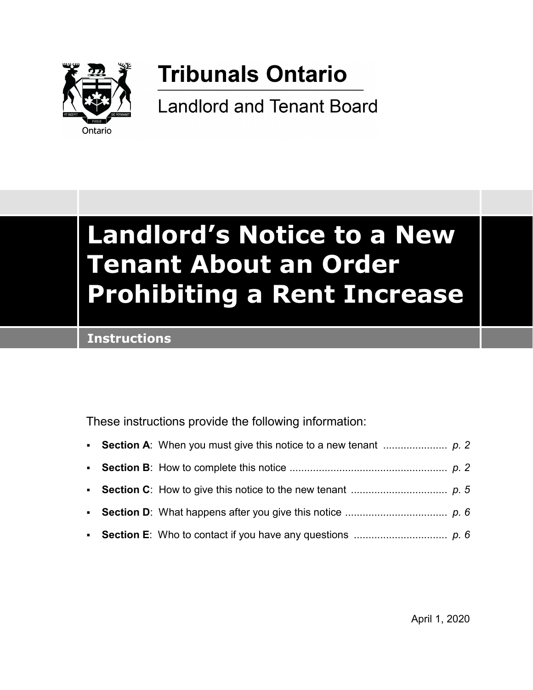

# **Tribunals Ontario**

**Landlord and Tenant Board** 

# **Landlord's Notice to a New Tenant About an Order Prohibiting a Rent Increase**

## **Instructions**

These instructions provide the following information: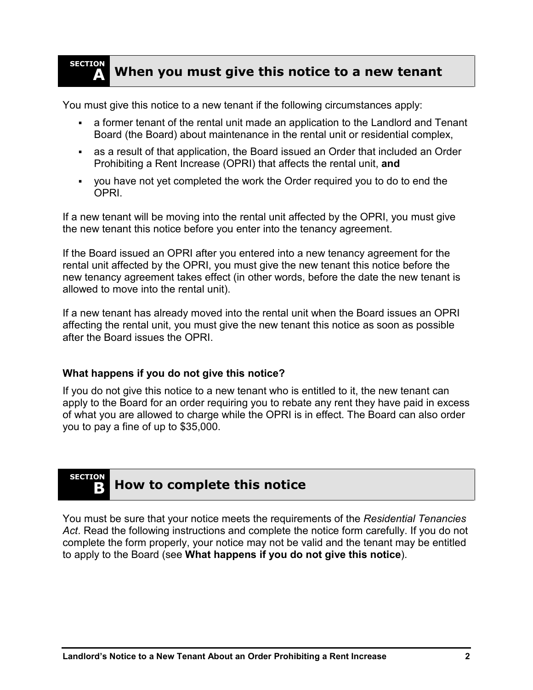#### **SECTION A When you must give this notice to a new tenant**

You must give this notice to a new tenant if the following circumstances apply:

- a former tenant of the rental unit made an application to the Landlord and Tenant Board (the Board) about maintenance in the rental unit or residential complex,
- as a result of that application, the Board issued an Order that included an Order Prohibiting a Rent Increase (OPRI) that affects the rental unit, **and**
- you have not yet completed the work the Order required you to do to end the OPRI.

If a new tenant will be moving into the rental unit affected by the OPRI, you must give the new tenant this notice before you enter into the tenancy agreement.

If the Board issued an OPRI after you entered into a new tenancy agreement for the rental unit affected by the OPRI, you must give the new tenant this notice before the new tenancy agreement takes effect (in other words, before the date the new tenant is allowed to move into the rental unit).

If a new tenant has already moved into the rental unit when the Board issues an OPRI affecting the rental unit, you must give the new tenant this notice as soon as possible after the Board issues the OPRI.

### **What happens if you do not give this notice?**

If you do not give this notice to a new tenant who is entitled to it, the new tenant can apply to the Board for an order requiring you to rebate any rent they have paid in excess of what you are allowed to charge while the OPRI is in effect. The Board can also order you to pay a fine of up to \$35,000.

# **SECTION**

## **B How to complete this notice**

You must be sure that your notice meets the requirements of the *Residential Tenancies Act*. Read the following instructions and complete the notice form carefully. If you do not complete the form properly, your notice may not be valid and the tenant may be entitled to apply to the Board (see **What happens if you do not give this notice**).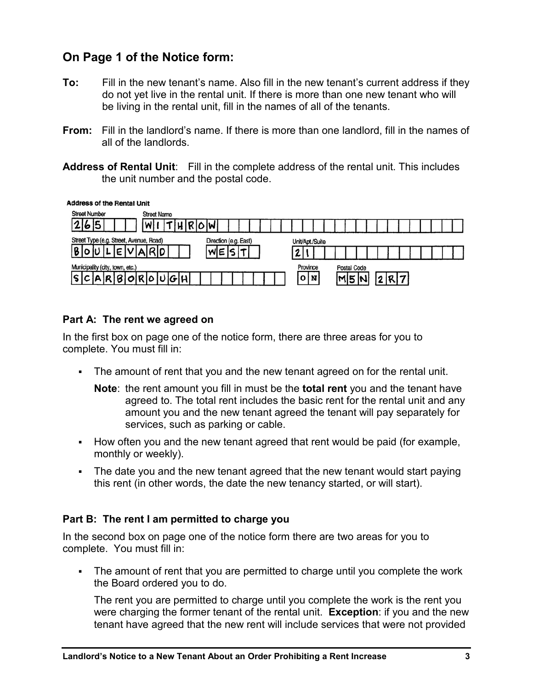## **On Page 1 of the Notice form:**

- **To:** Fill in the new tenant's name. Also fill in the new tenant's current address if they do not yet live in the rental unit. If there is more than one new tenant who will be living in the rental unit, fill in the names of all of the tenants.
- **From:** Fill in the landlord's name. If there is more than one landlord, fill in the names of all of the landlords.
- **Address of Rental Unit**: Fill in the complete address of the rental unit. This includes the unit number and the postal code.

**Address of the Rental Unit** 

| <b>Street Number</b>                    | <b>Street Name</b> |  |          |                    |  |  |  |  |
|-----------------------------------------|--------------------|--|----------|--------------------|--|--|--|--|
| 15<br>b                                 |                    |  |          |                    |  |  |  |  |
| Street Type (e.g. Street, Avenue, Road) | Unit/Apt./Suite    |  |          |                    |  |  |  |  |
|                                         | M                  |  |          |                    |  |  |  |  |
| Municipality (city, town, etc.)         |                    |  | Province | <b>Postal Code</b> |  |  |  |  |
| IS.<br>1R                               | 180R0UGH           |  | 0 I N    |                    |  |  |  |  |

### **Part A: The rent we agreed on**

In the first box on page one of the notice form, there are three areas for you to complete. You must fill in:

- The amount of rent that you and the new tenant agreed on for the rental unit.
	- **Note**: the rent amount you fill in must be the **total rent** you and the tenant have agreed to. The total rent includes the basic rent for the rental unit and any amount you and the new tenant agreed the tenant will pay separately for services, such as parking or cable.
- How often you and the new tenant agreed that rent would be paid (for example, monthly or weekly).
- The date you and the new tenant agreed that the new tenant would start paying this rent (in other words, the date the new tenancy started, or will start).

### **Part B: The rent I am permitted to charge you**

In the second box on page one of the notice form there are two areas for you to complete. You must fill in:

 The amount of rent that you are permitted to charge until you complete the work the Board ordered you to do.

The rent you are permitted to charge until you complete the work is the rent you were charging the former tenant of the rental unit. **Exception**: if you and the new tenant have agreed that the new rent will include services that were not provided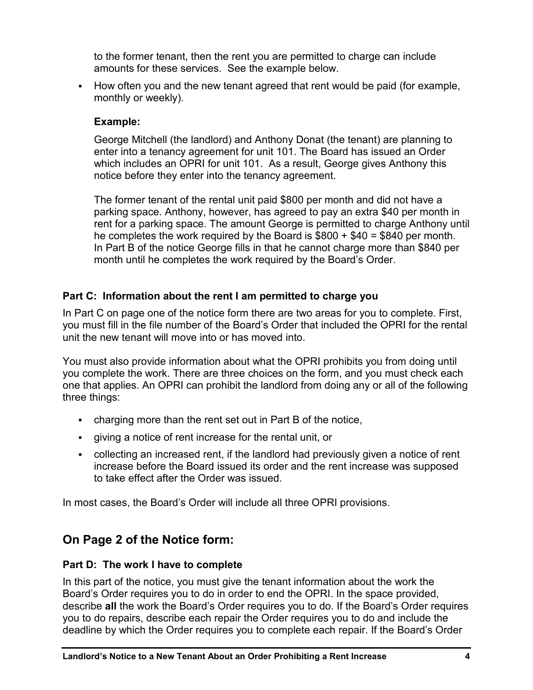to the former tenant, then the rent you are permitted to charge can include amounts for these services. See the example below.

• How often you and the new tenant agreed that rent would be paid (for example, monthly or weekly).

## **Example:**

George Mitchell (the landlord) and Anthony Donat (the tenant) are planning to enter into a tenancy agreement for unit 101. The Board has issued an Order which includes an OPRI for unit 101. As a result, George gives Anthony this notice before they enter into the tenancy agreement.

The former tenant of the rental unit paid \$800 per month and did not have a parking space. Anthony, however, has agreed to pay an extra \$40 per month in rent for a parking space. The amount George is permitted to charge Anthony until he completes the work required by the Board is  $$800 + $40 = $840$  per month. In Part B of the notice George fills in that he cannot charge more than \$840 per month until he completes the work required by the Board's Order.

### **Part C: Information about the rent I am permitted to charge you**

In Part C on page one of the notice form there are two areas for you to complete. First, you must fill in the file number of the Board's Order that included the OPRI for the rental unit the new tenant will move into or has moved into.

You must also provide information about what the OPRI prohibits you from doing until you complete the work. There are three choices on the form, and you must check each one that applies. An OPRI can prohibit the landlord from doing any or all of the following three things:

- charging more than the rent set out in Part B of the notice,
- giving a notice of rent increase for the rental unit, or
- collecting an increased rent, if the landlord had previously given a notice of rent increase before the Board issued its order and the rent increase was supposed to take effect after the Order was issued.

In most cases, the Board's Order will include all three OPRI provisions.

## **On Page 2 of the Notice form:**

### **Part D: The work I have to complete**

In this part of the notice, you must give the tenant information about the work the Board's Order requires you to do in order to end the OPRI. In the space provided, describe **all** the work the Board's Order requires you to do. If the Board's Order requires you to do repairs, describe each repair the Order requires you to do and include the deadline by which the Order requires you to complete each repair. If the Board's Order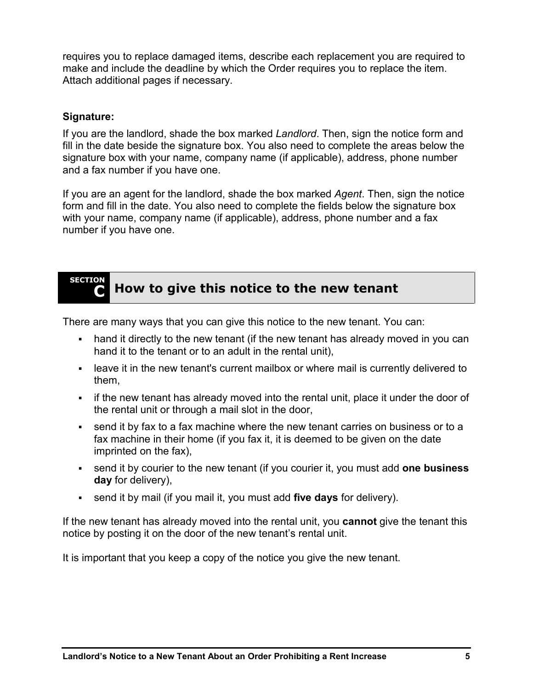requires you to replace damaged items, describe each replacement you are required to make and include the deadline by which the Order requires you to replace the item. Attach additional pages if necessary.

#### **Signature:**

If you are the landlord, shade the box marked *Landlord*. Then, sign the notice form and fill in the date beside the signature box. You also need to complete the areas below the signature box with your name, company name (if applicable), address, phone number and a fax number if you have one.

If you are an agent for the landlord, shade the box marked *Agent*. Then, sign the notice form and fill in the date. You also need to complete the fields below the signature box with your name, company name (if applicable), address, phone number and a fax number if you have one.

#### **SECTION C How to give this notice to the new tenant**

There are many ways that you can give this notice to the new tenant. You can:

- hand it directly to the new tenant (if the new tenant has already moved in you can hand it to the tenant or to an adult in the rental unit),
- leave it in the new tenant's current mailbox or where mail is currently delivered to them,
- if the new tenant has already moved into the rental unit, place it under the door of the rental unit or through a mail slot in the door,
- send it by fax to a fax machine where the new tenant carries on business or to a fax machine in their home (if you fax it, it is deemed to be given on the date imprinted on the fax),
- send it by courier to the new tenant (if you courier it, you must add **one business day** for delivery),
- send it by mail (if you mail it, you must add **five days** for delivery).

If the new tenant has already moved into the rental unit, you **cannot** give the tenant this notice by posting it on the door of the new tenant's rental unit.

It is important that you keep a copy of the notice you give the new tenant.